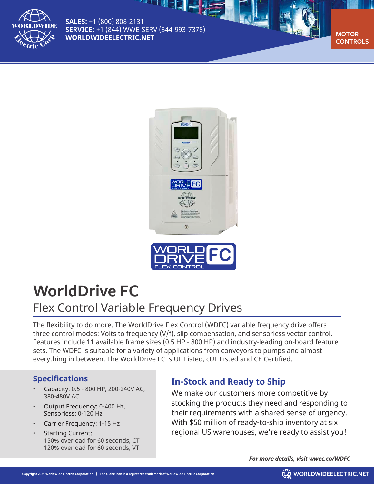

**SALES:** +1 (800) 808-2131 **SERVICE:** +1 (844) WWE-SERV (844-993-7378) **[WORLDWIDEELECTRIC.NET](http://worldwideelectric.net)** 

" 그 씨티티 <mark>금</mark> 사

**CONTROLS**





# **WorldDrive FC** Flex Control Variable Frequency Drives

The flexibility to do more. The WorldDrive Flex Control (WDFC) variable frequency drive offers three control modes: Volts to frequency (V/f), slip compensation, and sensorless vector control. Features include 11 available frame sizes (0.5 HP - 800 HP) and industry-leading on-board feature sets. The WDFC is suitable for a variety of applications from conveyors to pumps and almost everything in between. The WorldDrive FC is UL Listed, cUL Listed and CE Certified.

## **Specifications**

- Capacity: 0.5 800 HP, 200-240V AC, 380-480V AC
- Output Frequency: 0-400 Hz, Sensorless: 0-120 Hz
- Carrier Frequency: 1-15 Hz
- Starting Current: 150% overload for 60 seconds, CT 120% overload for 60 seconds, VT

# **In-Stock and Ready to Ship**

We make our customers more competitive by stocking the products they need and responding to their requirements with a shared sense of urgency. With \$50 million of ready-to-ship inventory at six regional US warehouses, we're ready to assist you!

*For more details, visit [wwec.co/WDFC](http://wwec.co/WDFC)*